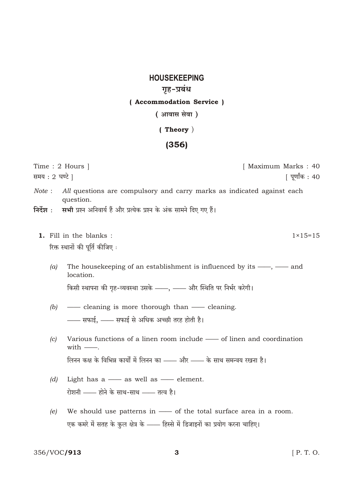## **HOUSEKEEPING** गृह-प्रबंध ( Accommodation Service )

(आवास सेवा)

## $( Theory)$

## $(356)$

Time: 2 Hours 1 [ Maximum Marks: 40 समय: 2 घण्टे । <u> । पर्णांक : 40</u> Note: All questions are compulsory and carry marks as indicated against each

सभी प्रश्न अनिवार्य हैं और प्रत्येक प्रश्न के अंक सामने दिए गए हैं। निर्देश $\,$  :

1. Fill in the blanks : रिक्त स्थानों की पर्ति कीजिए :

question.

 $(a)$ The house keeping of an establishment is influenced by its  $\frac{1}{1}$  and location.

किसी स्थापना की गृह-व्यवस्था उसके ——, —— और स्थिति पर निर्भर करेगी।

- $(b)$ - cleaning is more thorough than - cleaning. - सफाई, - सफाई से अधिक अच्छी तरह होती है।
- Various functions of a linen room include of linen and coordination  $\left( c\right)$ with  $-\blacksquare$ . लिनन कक्ष के विभिन्न कार्यों में लिनन का —— और —— के साथ समन्वय रखना है।
- Light has  $a \longrightarrow$  as well as  $\longrightarrow$  element.  $(d)$ रोशनी —— होने के साथ-साथ —— तत्व है।
- $(e)$ We should use patterns in - of the total surface area in a room. एक कमरे में सतह के कुल क्षेत्र के —— हिस्से में डिजाइनों का प्रयोग करना चाहिए।

356/VOC/913

 $1 \times 15 = 15$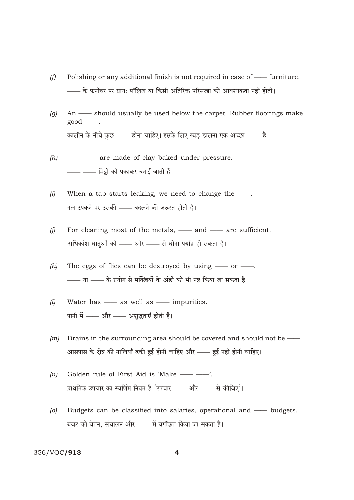- Polishing or any additional finish is not required in case of furniture.  $(f)$ – के फर्नीचर पर प्रायः पॉलिश या किसी अतिरिक्त परिसज्जा की आवश्यकता नहीं होती।
- An should usually be used below the carpet. Rubber floorings make  $(g)$  $good$ — $\ldots$ कालीन के नीचे कुछ —— होना चाहिए। इसके लिए रबड़ डालना एक अच्छा —— है।
- $(h)$ - - - are made of clay baked under pressure. —— —— मिट्टी को पकाकर बनाई जाती हैं।
- $(i)$ When a tap starts leaking, we need to change the -नल टपकने पर उसकी —— बदलने की जरूरत होती है।
- For cleaning most of the metals, and are sufficient.  $(j)$ अधिकांश धातुओं को —— और —— से धोना पर्याप्त हो सकता है।
- The eggs of flies can be destroyed by using  $\frac{1}{\sqrt{1-x^2}}$ .  $(k)$ - या - के प्रयोग से मक्खियों के अंडों को भी नष्ट किया जा सकता है।
- Water has as well as impurities.  $(l)$ पानी में - और - अशुद्धताएँ होती हैं।
- $(m)$ Drains in the surrounding area should be covered and should not be -आसपास के क्षेत्र की नालियाँ ढकी हुई होनी चाहिए और —— हुई नहीं होनी चाहिए।
- Golden rule of First Aid is 'Make -- $(n)$ प्राथमिक उपचार का स्वर्णिम नियम है 'उपचार —— और —— से कीजिए'।
- Budgets can be classified into salaries, operational and budgets.  $\left( 0 \right)$ बजट को वेतन, संचालन और —— में वर्गीकृत किया जा सकता है।

## 356/VOC/913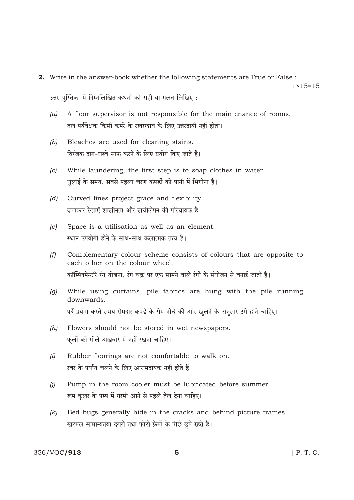**2.** Write in the answer-book whether the following statements are True or False:

 $1 \times 15 = 15$ 

उत्तर-पुस्तिका में निम्नलिखित कथनों को सही या गलत लिखिए:

- $(a)$ A floor supervisor is not responsible for the maintenance of rooms. तल पर्यवेक्षक किसी कमरे के रखरखाव के लिए उत्तरदायी नहीं होता।
- Bleaches are used for cleaning stains.  $(b)$ विरंजक दाग-धब्बे साफ करने के लिए प्रयोग किए जाते हैं।
- $(c)$ While laundering, the first step is to soap clothes in water. धुलाई के समय, सबसे पहला चरण कपडों को पानी में भिगोना है।
- $(d)$ Curved lines project grace and flexibility. वृत्ताकार रेखाएँ शालीनता और लचीलेपन की परिचायक हैं।
- Space is a utilisation as well as an element.  $(e)$ स्थान उपयोगी होने के साथ-साथ कलात्मक तत्व है।
- Complementary colour scheme consists of colours that are opposite to  $(f)$ each other on the colour wheel. कॉम्प्लिमेन्टरि रंग योजना, रंग चक्र पर एक सामने वाले रंगों के संयोजन से बनाई जाती है।
- While using curtains, pile fabrics are hung with the pile running  $(a)$ downwards. पर्दे प्रयोग करते समय रोमदार कपड़े के रोम नीचे की ओर खुलने के अनुसार टंगे होने चाहिए।
- $(h)$ Flowers should not be stored in wet newspapers. फुलों को गीले अखबार में नहीं रखना चाहिए।
- $(i)$ Rubber floorings are not comfortable to walk on. रबर के पर्याय चलने के लिए आरामदायक नहीं होते हैं।
- Pump in the room cooler must be lubricated before summer.  $(i)$ रूम कलर के पम्प में गरमी आने से पहले तेल देना चाहिए।
- $(k)$ Bed bugs generally hide in the cracks and behind picture frames. खटमल सामान्यतया दरारों तथा फोटो फ्रेमों के पीछे छुपे रहते हैं।